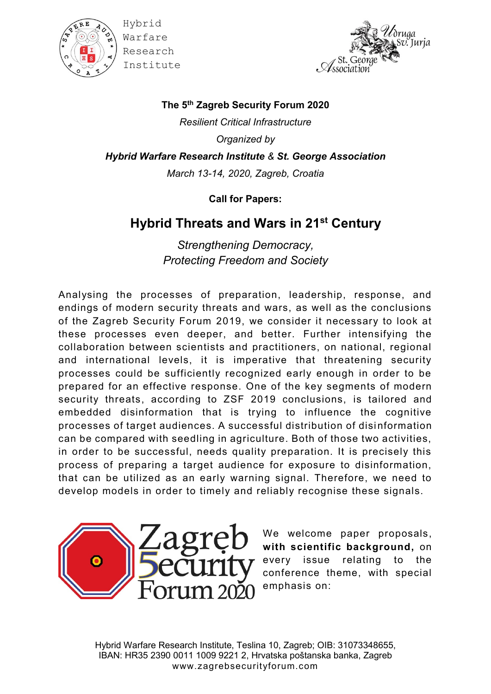

Hybrid Warfare Research Institute



**The 5th Zagreb Security Forum 2020** *Resilient Critical Infrastructure Organized by Hybrid Warfare Research Institute & St. George Association March 13-14, 2020, Zagreb, Croatia*

**Call for Papers:**

## **Hybrid Threats and Wars in 21st Century**

*Strengthening Democracy, Protecting Freedom and Society*

Analysing the processes of preparation, leadership, response, and endings of modern security threats and wars, as well as the conclusions of the Zagreb Security Forum 2019, we consider it necessary to look at these processes even deeper, and better. Further intensifying the collaboration between scientists and practitioners, on national, regional and international levels, it is imperative that threatening security processes could be sufficiently recognized early enough in order to be prepared for an effective response. One of the key segments of modern security threats, according to ZSF 2019 conclusions, is tailored and embedded disinformation that is trying to influence the cognitive processes of target audiences. A successful distribution of disi nformation can be compared with seedling in agriculture. Both of those two activities, in order to be successful, needs quality preparation. It is precisely this process of preparing a target audience for exposure to disinformation, that can be utilized as an early warning signal. Therefore, we need to develop models in order to timely and reliably recognise these signals.



We welcome paper proposals, **with scientific background,** on  $\tau$  every issue relating to the conference theme, with special emphasis on: